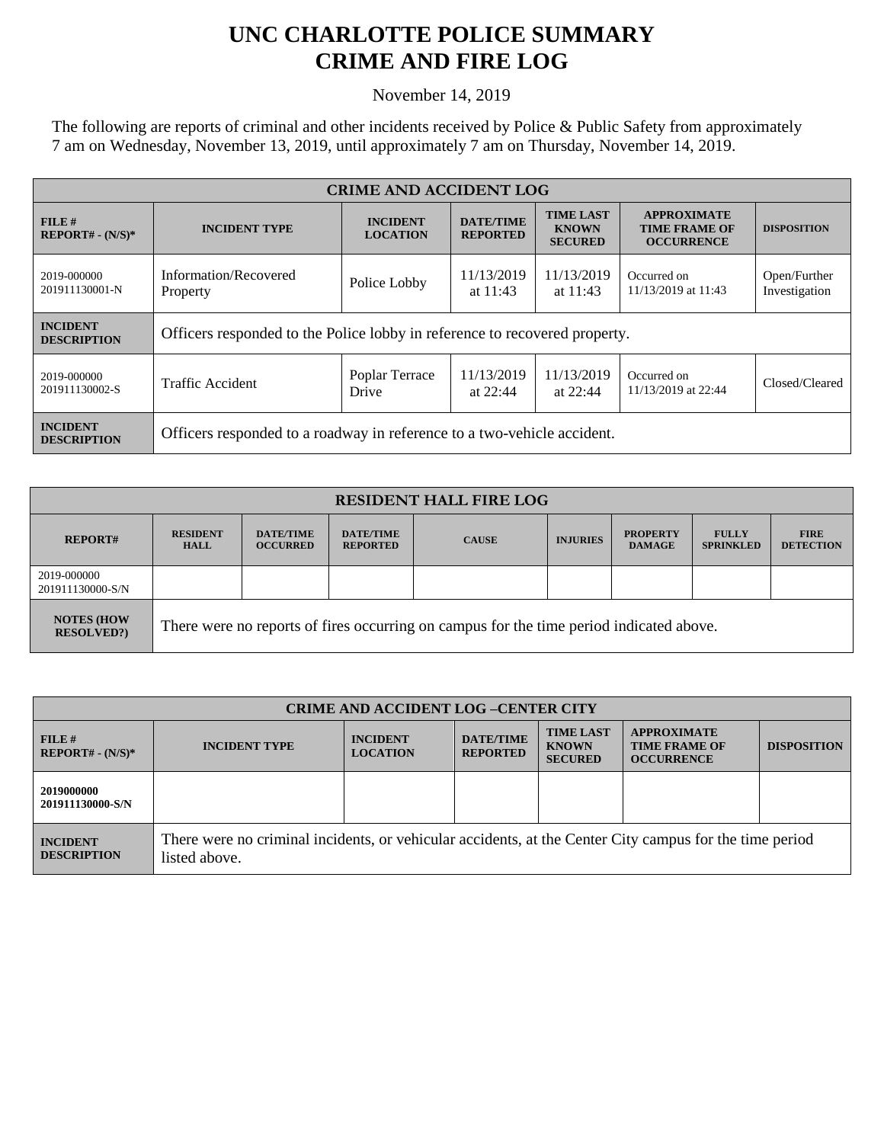## **UNC CHARLOTTE POLICE SUMMARY CRIME AND FIRE LOG**

November 14, 2019

The following are reports of criminal and other incidents received by Police & Public Safety from approximately 7 am on Wednesday, November 13, 2019, until approximately 7 am on Thursday, November 14, 2019.

| <b>CRIME AND ACCIDENT LOG</b>         |                                                                            |                                    |                                     |                                                    |                                                                 |                               |  |
|---------------------------------------|----------------------------------------------------------------------------|------------------------------------|-------------------------------------|----------------------------------------------------|-----------------------------------------------------------------|-------------------------------|--|
| $FILE$ #<br>$REPORT# - (N/S)*$        | <b>INCIDENT TYPE</b>                                                       | <b>INCIDENT</b><br><b>LOCATION</b> | <b>DATE/TIME</b><br><b>REPORTED</b> | <b>TIME LAST</b><br><b>KNOWN</b><br><b>SECURED</b> | <b>APPROXIMATE</b><br><b>TIME FRAME OF</b><br><b>OCCURRENCE</b> | <b>DISPOSITION</b>            |  |
| 2019-000000<br>201911130001-N         | Information/Recovered<br>Property                                          | Police Lobby                       | 11/13/2019<br>at $11:43$            | 11/13/2019<br>at $11:43$                           | Occurred on<br>11/13/2019 at 11:43                              | Open/Further<br>Investigation |  |
| <b>INCIDENT</b><br><b>DESCRIPTION</b> | Officers responded to the Police lobby in reference to recovered property. |                                    |                                     |                                                    |                                                                 |                               |  |
| 2019-000000<br>201911130002-S         | <b>Traffic Accident</b>                                                    | Poplar Terrace<br>Drive            | 11/13/2019<br>at $22:44$            | 11/13/2019<br>at 22:44                             | Occurred on<br>11/13/2019 at 22:44                              | Closed/Cleared                |  |
| <b>INCIDENT</b><br><b>DESCRIPTION</b> | Officers responded to a roadway in reference to a two-vehicle accident.    |                                    |                                     |                                                    |                                                                 |                               |  |

| <b>RESIDENT HALL FIRE LOG</b>         |                                                                                         |                                     |                                     |              |                 |                                  |                                  |                                 |
|---------------------------------------|-----------------------------------------------------------------------------------------|-------------------------------------|-------------------------------------|--------------|-----------------|----------------------------------|----------------------------------|---------------------------------|
| <b>REPORT#</b>                        | <b>RESIDENT</b><br><b>HALL</b>                                                          | <b>DATE/TIME</b><br><b>OCCURRED</b> | <b>DATE/TIME</b><br><b>REPORTED</b> | <b>CAUSE</b> | <b>INJURIES</b> | <b>PROPERTY</b><br><b>DAMAGE</b> | <b>FULLY</b><br><b>SPRINKLED</b> | <b>FIRE</b><br><b>DETECTION</b> |
| 2019-000000<br>201911130000-S/N       |                                                                                         |                                     |                                     |              |                 |                                  |                                  |                                 |
| <b>NOTES (HOW</b><br><b>RESOLVED?</b> | There were no reports of fires occurring on campus for the time period indicated above. |                                     |                                     |              |                 |                                  |                                  |                                 |

| <b>CRIME AND ACCIDENT LOG-CENTER CITY</b> |                                                                                                                          |                                    |                                     |                                                    |                                                                 |                    |
|-------------------------------------------|--------------------------------------------------------------------------------------------------------------------------|------------------------------------|-------------------------------------|----------------------------------------------------|-----------------------------------------------------------------|--------------------|
| FILE#<br>$REPORT# - (N/S)*$               | <b>INCIDENT TYPE</b>                                                                                                     | <b>INCIDENT</b><br><b>LOCATION</b> | <b>DATE/TIME</b><br><b>REPORTED</b> | <b>TIME LAST</b><br><b>KNOWN</b><br><b>SECURED</b> | <b>APPROXIMATE</b><br><b>TIME FRAME OF</b><br><b>OCCURRENCE</b> | <b>DISPOSITION</b> |
| 2019000000<br>201911130000-S/N            |                                                                                                                          |                                    |                                     |                                                    |                                                                 |                    |
| <b>INCIDENT</b><br><b>DESCRIPTION</b>     | There were no criminal incidents, or vehicular accidents, at the Center City campus for the time period<br>listed above. |                                    |                                     |                                                    |                                                                 |                    |